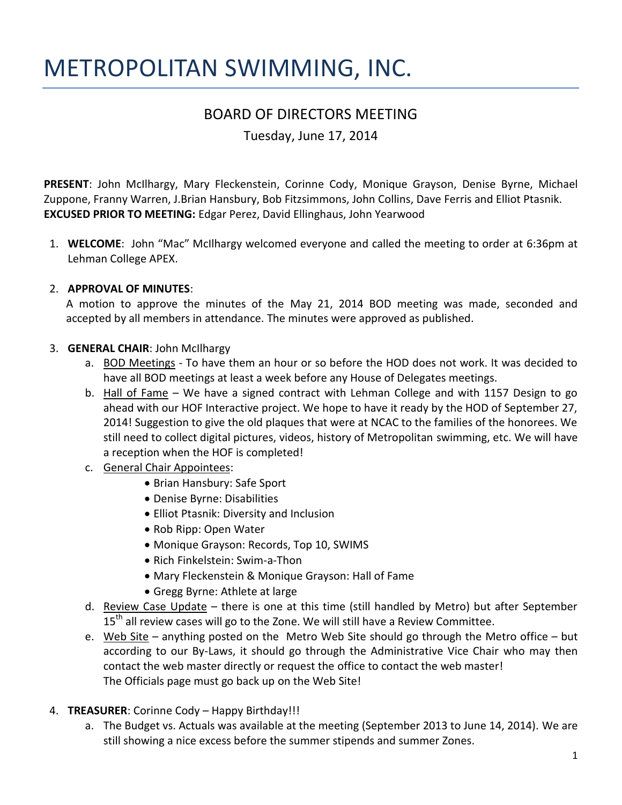# METROPOLITAN SWIMMING, INC.

# BOARD OF DIRECTORS MEETING

Tuesday, June 17, 2014

**PRESENT**: John McIlhargy, Mary Fleckenstein, Corinne Cody, Monique Grayson, Denise Byrne, Michael Zuppone, Franny Warren, J.Brian Hansbury, Bob Fitzsimmons, John Collins, Dave Ferris and Elliot Ptasnik. **EXCUSED PRIOR TO MEETING:** Edgar Perez, David Ellinghaus, John Yearwood

1. **WELCOME**: John "Mac" McIlhargy welcomed everyone and called the meeting to order at 6:36pm at Lehman College APEX.

# 2. **APPROVAL OF MINUTES**:

A motion to approve the minutes of the May 21, 2014 BOD meeting was made, seconded and accepted by all members in attendance. The minutes were approved as published.

# 3. **GENERAL CHAIR**: John McIlhargy

- a. BOD Meetings To have them an hour or so before the HOD does not work. It was decided to have all BOD meetings at least a week before any House of Delegates meetings.
- b. Hall of Fame We have a signed contract with Lehman College and with 1157 Design to go ahead with our HOF Interactive project. We hope to have it ready by the HOD of September 27, 2014! Suggestion to give the old plaques that were at NCAC to the families of the honorees. We still need to collect digital pictures, videos, history of Metropolitan swimming, etc. We will have a reception when the HOF is completed!
- c. General Chair Appointees:
	- Brian Hansbury: Safe Sport
	- Denise Byrne: Disabilities
	- Elliot Ptasnik: Diversity and Inclusion
	- Rob Ripp: Open Water
	- Monique Grayson: Records, Top 10, SWIMS
	- Rich Finkelstein: Swim-a-Thon
	- Mary Fleckenstein & Monique Grayson: Hall of Fame
	- Gregg Byrne: Athlete at large
- d. Review Case Update there is one at this time (still handled by Metro) but after September  $15<sup>th</sup>$  all review cases will go to the Zone. We will still have a Review Committee.
- e. Web Site anything posted on the Metro Web Site should go through the Metro office but according to our By-Laws, it should go through the Administrative Vice Chair who may then contact the web master directly or request the office to contact the web master! The Officials page must go back up on the Web Site!

# 4. **TREASURER**: Corinne Cody – Happy Birthday!!!

a. The Budget vs. Actuals was available at the meeting (September 2013 to June 14, 2014). We are still showing a nice excess before the summer stipends and summer Zones.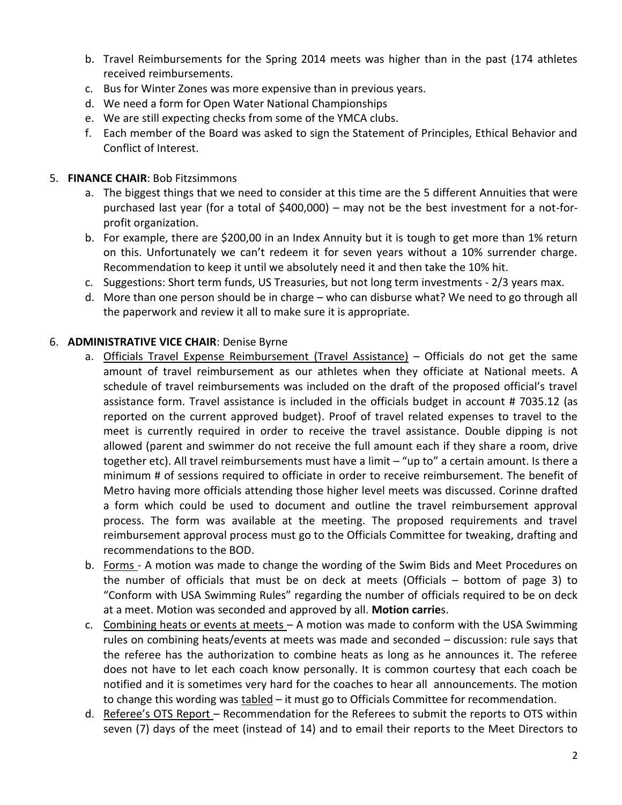- b. Travel Reimbursements for the Spring 2014 meets was higher than in the past (174 athletes received reimbursements.
- c. Bus for Winter Zones was more expensive than in previous years.
- d. We need a form for Open Water National Championships
- e. We are still expecting checks from some of the YMCA clubs.
- f. Each member of the Board was asked to sign the Statement of Principles, Ethical Behavior and Conflict of Interest.

#### 5. **FINANCE CHAIR**: Bob Fitzsimmons

- a. The biggest things that we need to consider at this time are the 5 different Annuities that were purchased last year (for a total of \$400,000) – may not be the best investment for a not-forprofit organization.
- b. For example, there are \$200,00 in an Index Annuity but it is tough to get more than 1% return on this. Unfortunately we can't redeem it for seven years without a 10% surrender charge. Recommendation to keep it until we absolutely need it and then take the 10% hit.
- c. Suggestions: Short term funds, US Treasuries, but not long term investments 2/3 years max.
- d. More than one person should be in charge who can disburse what? We need to go through all the paperwork and review it all to make sure it is appropriate.

#### 6. **ADMINISTRATIVE VICE CHAIR**: Denise Byrne

- a. Officials Travel Expense Reimbursement (Travel Assistance) Officials do not get the same amount of travel reimbursement as our athletes when they officiate at National meets. A schedule of travel reimbursements was included on the draft of the proposed official's travel assistance form. Travel assistance is included in the officials budget in account # 7035.12 (as reported on the current approved budget). Proof of travel related expenses to travel to the meet is currently required in order to receive the travel assistance. Double dipping is not allowed (parent and swimmer do not receive the full amount each if they share a room, drive together etc). All travel reimbursements must have a limit – "up to" a certain amount. Is there a minimum # of sessions required to officiate in order to receive reimbursement. The benefit of Metro having more officials attending those higher level meets was discussed. Corinne drafted a form which could be used to document and outline the travel reimbursement approval process. The form was available at the meeting. The proposed requirements and travel reimbursement approval process must go to the Officials Committee for tweaking, drafting and recommendations to the BOD.
- b. Forms A motion was made to change the wording of the Swim Bids and Meet Procedures on the number of officials that must be on deck at meets (Officials – bottom of page 3) to "Conform with USA Swimming Rules" regarding the number of officials required to be on deck at a meet. Motion was seconded and approved by all. **Motion carrie**s.
- c. Combining heats or events at meets A motion was made to conform with the USA Swimming rules on combining heats/events at meets was made and seconded – discussion: rule says that the referee has the authorization to combine heats as long as he announces it. The referee does not have to let each coach know personally. It is common courtesy that each coach be notified and it is sometimes very hard for the coaches to hear all announcements. The motion to change this wording was tabled – it must go to Officials Committee for recommendation.
- d. Referee's OTS Report Recommendation for the Referees to submit the reports to OTS within seven (7) days of the meet (instead of 14) and to email their reports to the Meet Directors to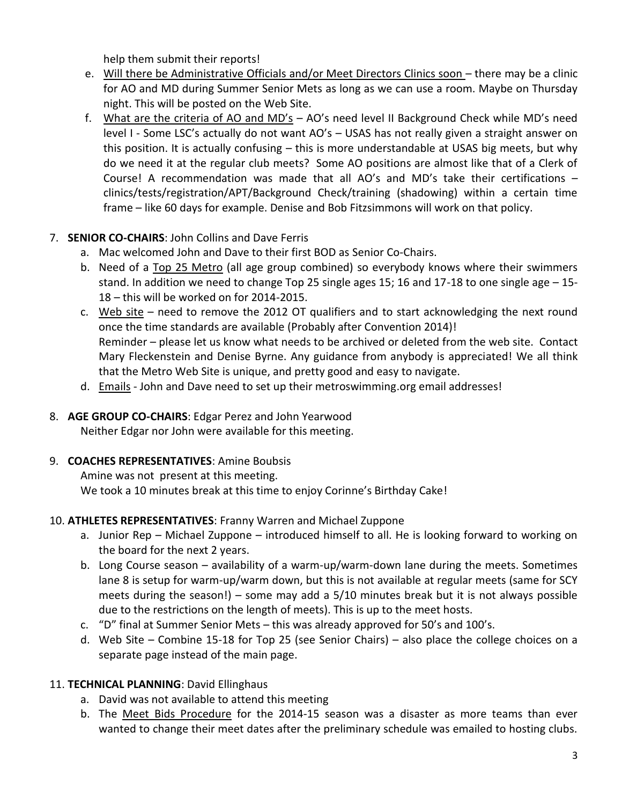help them submit their reports!

- e. Will there be Administrative Officials and/or Meet Directors Clinics soon there may be a clinic for AO and MD during Summer Senior Mets as long as we can use a room. Maybe on Thursday night. This will be posted on the Web Site.
- f. What are the criteria of AO and MD's AO's need level II Background Check while MD's need level I - Some LSC's actually do not want AO's – USAS has not really given a straight answer on this position. It is actually confusing – this is more understandable at USAS big meets, but why do we need it at the regular club meets? Some AO positions are almost like that of a Clerk of Course! A recommendation was made that all AO's and MD's take their certifications – clinics/tests/registration/APT/Background Check/training (shadowing) within a certain time frame – like 60 days for example. Denise and Bob Fitzsimmons will work on that policy.

# 7. **SENIOR CO-CHAIRS**: John Collins and Dave Ferris

- a. Mac welcomed John and Dave to their first BOD as Senior Co-Chairs.
- b. Need of a Top 25 Metro (all age group combined) so everybody knows where their swimmers stand. In addition we need to change Top 25 single ages 15; 16 and 17-18 to one single age – 15- 18 – this will be worked on for 2014-2015.
- c. Web site need to remove the 2012 OT qualifiers and to start acknowledging the next round once the time standards are available (Probably after Convention 2014)! Reminder – please let us know what needs to be archived or deleted from the web site. Contact Mary Fleckenstein and Denise Byrne. Any guidance from anybody is appreciated! We all think that the Metro Web Site is unique, and pretty good and easy to navigate.
- d. Emails John and Dave need to set up their metroswimming.org email addresses!

# 8. **AGE GROUP CO-CHAIRS**: Edgar Perez and John Yearwood

Neither Edgar nor John were available for this meeting.

#### 9. **COACHES REPRESENTATIVES**: Amine Boubsis

Amine was not present at this meeting. We took a 10 minutes break at this time to enjoy Corinne's Birthday Cake!

#### 10. **ATHLETES REPRESENTATIVES**: Franny Warren and Michael Zuppone

- a. Junior Rep Michael Zuppone introduced himself to all. He is looking forward to working on the board for the next 2 years.
- b. Long Course season availability of a warm-up/warm-down lane during the meets. Sometimes lane 8 is setup for warm-up/warm down, but this is not available at regular meets (same for SCY meets during the season!) – some may add a 5/10 minutes break but it is not always possible due to the restrictions on the length of meets). This is up to the meet hosts.
- c. "D" final at Summer Senior Mets this was already approved for 50's and 100's.
- d. Web Site Combine 15-18 for Top 25 (see Senior Chairs) also place the college choices on a separate page instead of the main page.

#### 11. **TECHNICAL PLANNING**: David Ellinghaus

- a. David was not available to attend this meeting
- b. The Meet Bids Procedure for the 2014-15 season was a disaster as more teams than ever wanted to change their meet dates after the preliminary schedule was emailed to hosting clubs.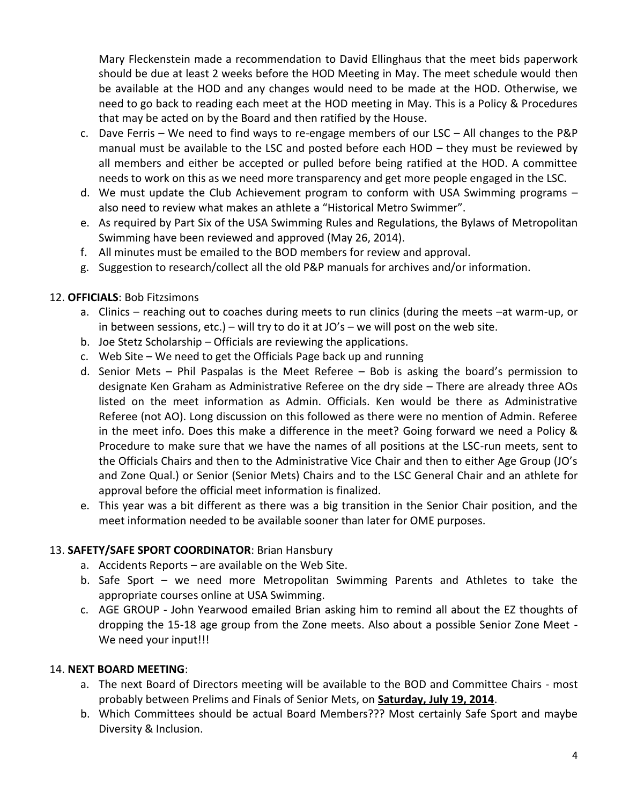Mary Fleckenstein made a recommendation to David Ellinghaus that the meet bids paperwork should be due at least 2 weeks before the HOD Meeting in May. The meet schedule would then be available at the HOD and any changes would need to be made at the HOD. Otherwise, we need to go back to reading each meet at the HOD meeting in May. This is a Policy & Procedures that may be acted on by the Board and then ratified by the House.

- c. Dave Ferris We need to find ways to re-engage members of our LSC All changes to the P&P manual must be available to the LSC and posted before each HOD – they must be reviewed by all members and either be accepted or pulled before being ratified at the HOD. A committee needs to work on this as we need more transparency and get more people engaged in the LSC.
- d. We must update the Club Achievement program to conform with USA Swimming programs also need to review what makes an athlete a "Historical Metro Swimmer".
- e. As required by Part Six of the USA Swimming Rules and Regulations, the Bylaws of Metropolitan Swimming have been reviewed and approved (May 26, 2014).
- f. All minutes must be emailed to the BOD members for review and approval.
- g. Suggestion to research/collect all the old P&P manuals for archives and/or information.

#### 12. **OFFICIALS**: Bob Fitzsimons

- a. Clinics reaching out to coaches during meets to run clinics (during the meets –at warm-up, or in between sessions, etc.) – will try to do it at  $JO's$  – we will post on the web site.
- b. Joe Stetz Scholarship Officials are reviewing the applications.
- c. Web Site We need to get the Officials Page back up and running
- d. Senior Mets Phil Paspalas is the Meet Referee Bob is asking the board's permission to designate Ken Graham as Administrative Referee on the dry side – There are already three AOs listed on the meet information as Admin. Officials. Ken would be there as Administrative Referee (not AO). Long discussion on this followed as there were no mention of Admin. Referee in the meet info. Does this make a difference in the meet? Going forward we need a Policy & Procedure to make sure that we have the names of all positions at the LSC-run meets, sent to the Officials Chairs and then to the Administrative Vice Chair and then to either Age Group (JO's and Zone Qual.) or Senior (Senior Mets) Chairs and to the LSC General Chair and an athlete for approval before the official meet information is finalized.
- e. This year was a bit different as there was a big transition in the Senior Chair position, and the meet information needed to be available sooner than later for OME purposes.

#### 13. **SAFETY/SAFE SPORT COORDINATOR**: Brian Hansbury

- a. Accidents Reports are available on the Web Site.
- b. Safe Sport we need more Metropolitan Swimming Parents and Athletes to take the appropriate courses online at USA Swimming.
- c. AGE GROUP John Yearwood emailed Brian asking him to remind all about the EZ thoughts of dropping the 15-18 age group from the Zone meets. Also about a possible Senior Zone Meet - We need your input!!!

#### 14. **NEXT BOARD MEETING**:

- a. The next Board of Directors meeting will be available to the BOD and Committee Chairs most probably between Prelims and Finals of Senior Mets, on **Saturday, July 19, 2014**.
- b. Which Committees should be actual Board Members??? Most certainly Safe Sport and maybe Diversity & Inclusion.